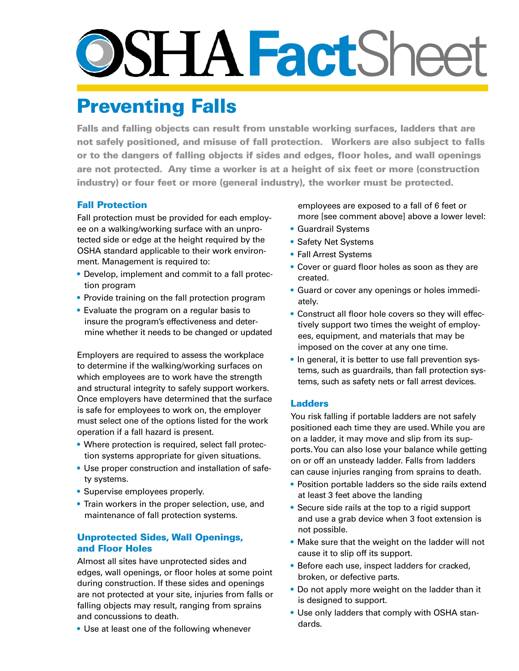# **SSHA FactSheet**

## **Preventing Falls**

**Falls and falling objects can result from unstable working surfaces, ladders that are not safely positioned, and misuse of fall protection. Workers are also subject to falls or to the dangers of falling objects if sides and edges, floor holes, and wall openings are not protected. Any time a worker is at a height of six feet or more (construction industry) or four feet or more (general industry), the worker must be protected.**

### **Fall Protection**

Fall protection must be provided for each employee on a walking/working surface with an unprotected side or edge at the height required by the OSHA standard applicable to their work environment. Management is required to:

- Develop, implement and commit to a fall protection program
- Provide training on the fall protection program
- Evaluate the program on a regular basis to insure the program's effectiveness and determine whether it needs to be changed or updated

Employers are required to assess the workplace to determine if the walking/working surfaces on which employees are to work have the strength and structural integrity to safely support workers. Once employers have determined that the surface is safe for employees to work on, the employer must select one of the options listed for the work operation if a fall hazard is present.

- Where protection is required, select fall protection systems appropriate for given situations.
- Use proper construction and installation of safety systems.
- Supervise employees properly.
- Train workers in the proper selection, use, and maintenance of fall protection systems.

#### **Unprotected Sides, Wall Openings, and Floor Holes**

Almost all sites have unprotected sides and edges, wall openings, or floor holes at some point during construction. If these sides and openings are not protected at your site, injuries from falls or falling objects may result, ranging from sprains and concussions to death.

• Use at least one of the following whenever

employees are exposed to a fall of 6 feet or more [see comment above] above a lower level:

- Guardrail Systems
- Safety Net Systems
- Fall Arrest Systems
- Cover or guard floor holes as soon as they are created.
- Guard or cover any openings or holes immediately.
- Construct all floor hole covers so they will effectively support two times the weight of employees, equipment, and materials that may be imposed on the cover at any one time.
- In general, it is better to use fall prevention systems, such as guardrails, than fall protection systems, such as safety nets or fall arrest devices.

#### **Ladders**

You risk falling if portable ladders are not safely positioned each time they are used. While you are on a ladder, it may move and slip from its supports. You can also lose your balance while getting on or off an unsteady ladder. Falls from ladders can cause injuries ranging from sprains to death.

- Position portable ladders so the side rails extend at least 3 feet above the landing
- Secure side rails at the top to a rigid support and use a grab device when 3 foot extension is not possible.
- Make sure that the weight on the ladder will not cause it to slip off its support.
- Before each use, inspect ladders for cracked, broken, or defective parts.
- Do not apply more weight on the ladder than it is designed to support.
- Use only ladders that comply with OSHA standards.